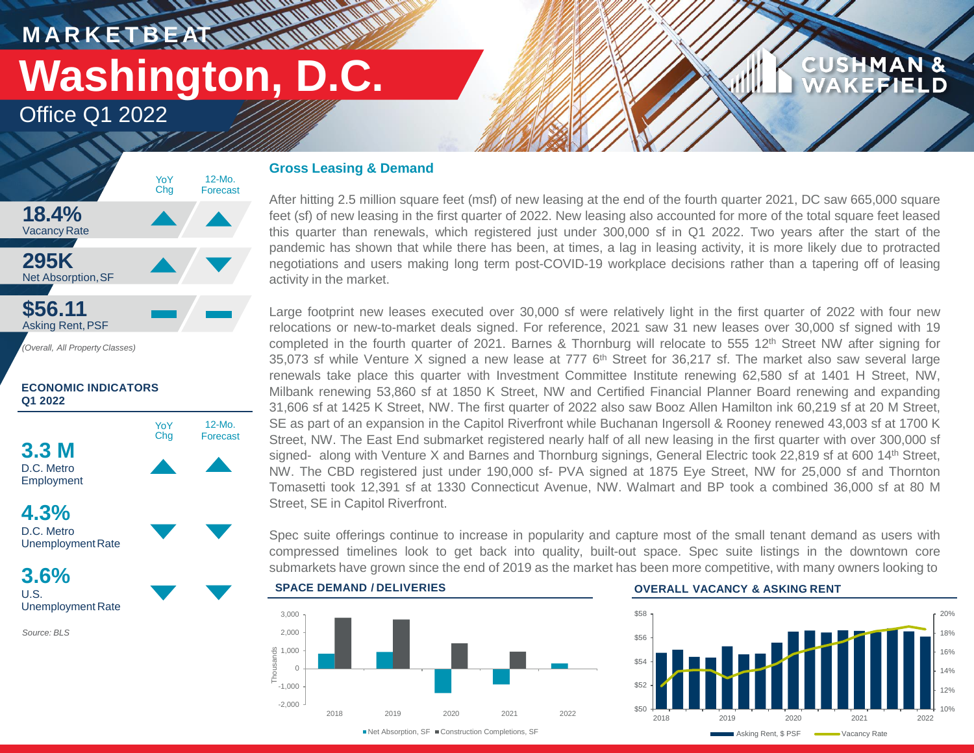**MARKETBEAT WWW.WWW** 

# **Washington, D.C.**

Office Q1 2022



### **ECONOMIC INDICATORS Q1 2022**



*Source: BLS*

### **Gross Leasing & Demand**

After hitting 2.5 million square feet (msf) of new leasing at the end of the fourth quarter 2021, DC saw 665,000 square feet (sf) of new leasing in the first quarter of 2022. New leasing also accounted for more of the total square feet leased this quarter than renewals, which registered just under 300,000 sf in Q1 2022. Two years after the start of the pandemic has shown that while there has been, at times, a lag in leasing activity, it is more likely due to protracted negotiations and users making long term post-COVID-19 workplace decisions rather than a tapering off of leasing activity in the market.

Large footprint new leases executed over 30,000 sf were relatively light in the first quarter of 2022 with four new relocations or new-to-market deals signed. For reference, 2021 saw 31 new leases over 30,000 sf signed with 19 completed in the fourth quarter of 2021. Barnes & Thornburg will relocate to 555 12<sup>th</sup> Street NW after signing for 35,073 sf while Venture X signed a new lease at 777 6<sup>th</sup> Street for 36,217 sf. The market also saw several large renewals take place this quarter with Investment Committee Institute renewing 62,580 sf at 1401 H Street, NW, Milbank renewing 53,860 sf at 1850 K Street, NW and Certified Financial Planner Board renewing and expanding 31,606 sf at 1425 K Street, NW. The first quarter of 2022 also saw Booz Allen Hamilton ink 60,219 sf at 20 M Street, SE as part of an expansion in the Capitol Riverfront while Buchanan Ingersoll & Rooney renewed 43,003 sf at 1700 K Street, NW. The East End submarket registered nearly half of all new leasing in the first quarter with over 300,000 sf signed- along with Venture X and Barnes and Thornburg signings, General Electric took 22,819 sf at 600 14th Street, NW. The CBD registered just under 190,000 sf- PVA signed at 1875 Eye Street, NW for 25,000 sf and Thornton Tomasetti took 12,391 sf at 1330 Connecticut Avenue, NW. Walmart and BP took a combined 36,000 sf at 80 M Street, SE in Capitol Riverfront.

Spec suite offerings continue to increase in popularity and capture most of the small tenant demand as users with compressed timelines look to get back into quality, built-out space. Spec suite listings in the downtown core submarkets have grown since the end of 2019 as the market has been more competitive, with many owners looking to



### **OVERALL VACANCY & ASKING RENT**



**CUSHMAN &** 

**EFIELD**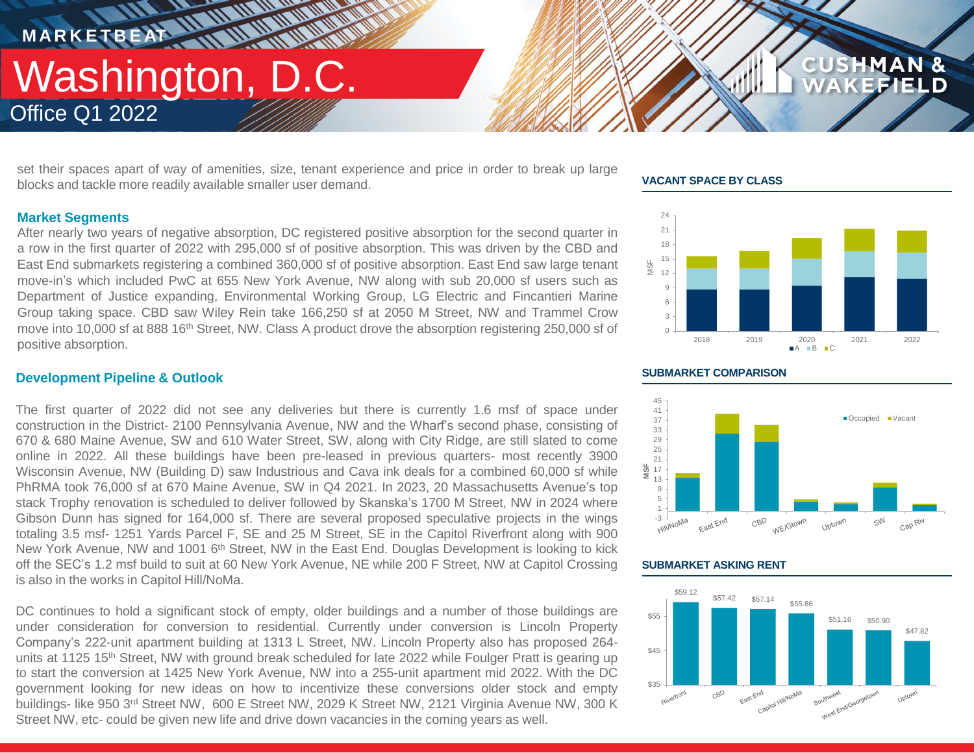**M A R K E T B E AT**

### Office Q1 2022 Washington, D.C.

set their spaces apart of way of amenities, size, tenant experience and price in order to break up large blocks and tackle more readily available smaller user demand.

**THE AN AN ANTIQUAL** 

### **VACANT SPACE BY CLASS**



**CUSHMAN &** 

FFIELD



### **SUBMARKET ASKING RENT**



### **Market Segments**

After nearly two years of negative absorption, DC registered positive absorption for the second quarter in a row in the first quarter of 2022 with 295,000 sf of positive absorption. This was driven by the CBD and East End submarkets registering a combined 360,000 sf of positive absorption. East End saw large tenant move-in's which included PwC at 655 New York Avenue, NW along with sub 20,000 sf users such as Department of Justice expanding, Environmental Working Group, LG Electric and Fincantieri Marine Group taking space. CBD saw Wiley Rein take 166,250 sf at 2050 M Street, NW and Trammel Crow move into 10,000 sf at 888 16<sup>th</sup> Street, NW. Class A product drove the absorption registering 250,000 sf of positive absorption.

### **Development Pipeline & Outlook**

The first quarter of 2022 did not see any deliveries but there is currently 1.6 msf of space under construction in the District- 2100 Pennsylvania Avenue, NW and the Wharf's second phase, consisting of 670 & 680 Maine Avenue, SW and 610 Water Street, SW, along with City Ridge, are still slated to come online in 2022. All these buildings have been pre-leased in previous quarters- most recently 3900 Wisconsin Avenue, NW (Building D) saw Industrious and Cava ink deals for a combined 60,000 sf while PhRMA took 76,000 sf at 670 Maine Avenue, SW in Q4 2021. In 2023, 20 Massachusetts Avenue's top stack Trophy renovation is scheduled to deliver followed by Skanska's 1700 M Street, NW in 2024 where Gibson Dunn has signed for 164,000 sf. There are several proposed speculative projects in the wings totaling 3.5 msf- 1251 Yards Parcel F, SE and 25 M Street, SE in the Capitol Riverfront along with 900 New York Avenue, NW and 1001 6<sup>th</sup> Street, NW in the East End. Douglas Development is looking to kick off the SEC's 1.2 msf build to suit at 60 New York Avenue, NE while 200 F Street, NW at Capitol Crossing is also in the works in Capitol Hill/NoMa.

DC continues to hold a significant stock of empty, older buildings and a number of those buildings are under consideration for conversion to residential. Currently under conversion is Lincoln Property Company's 222-unit apartment building at 1313 L Street, NW. Lincoln Property also has proposed 264 units at 1125 15<sup>th</sup> Street, NW with ground break scheduled for late 2022 while Foulger Pratt is gearing up to start the conversion at 1425 New York Avenue, NW into a 255-unit apartment mid 2022. With the DC government looking for new ideas on how to incentivize these conversions older stock and empty buildings- like 950 3<sup>rd</sup> Street NW, 600 E Street NW, 2029 K Street NW, 2121 Virginia Avenue NW, 300 K Street NW, etc- could be given new life and drive down vacancies in the coming years as well.

#### **SUBMARKET COMPARISON**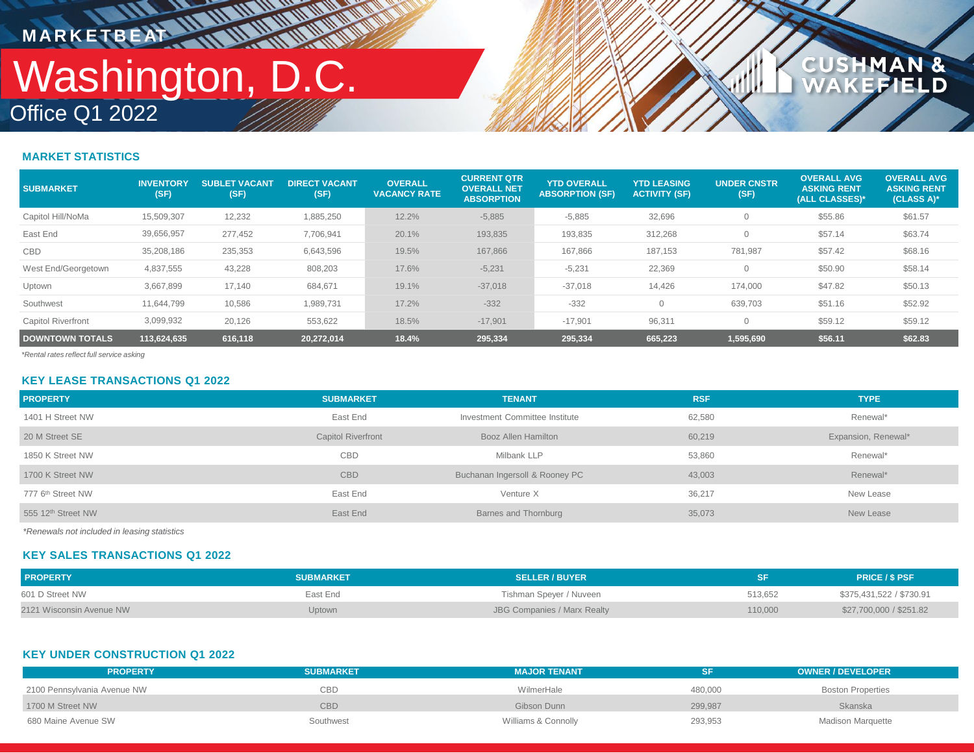## Office Q1 2022 Washington, D.C. **MARKETBEAT ALAMAN**

**WALLER** 

### **CUSHMAN &<br>WAKEFIELD**

### **MARKET STATISTICS**

| <b>SUBMARKET</b>          | <b>INVENTORY</b><br>(SF) | <b>SUBLET VACANT</b><br>(SF) | <b>DIRECT VACANT</b><br>(SF) | <b>OVERALL</b><br><b>VACANCY RATE</b> | <b>CURRENT QTR</b><br><b>OVERALL NET</b><br><b>ABSORPTION</b> | <b>YTD OVERALL</b><br><b>ABSORPTION (SF)</b> | <b>YTD LEASING</b><br><b>ACTIVITY (SF)</b> | <b>UNDER CNSTR</b><br>(SF) | <b>OVERALL AVG</b><br><b>ASKING RENT</b><br>(ALL CLASSES)* | <b>OVERALL AVG</b><br><b>ASKING RENT</b><br>(CLASS A)* |
|---------------------------|--------------------------|------------------------------|------------------------------|---------------------------------------|---------------------------------------------------------------|----------------------------------------------|--------------------------------------------|----------------------------|------------------------------------------------------------|--------------------------------------------------------|
| Capitol Hill/NoMa         | 15,509,307               | 12,232                       | 1,885,250                    | 12.2%                                 | $-5,885$                                                      | $-5,885$                                     | 32,696                                     |                            | \$55.86                                                    | \$61.57                                                |
| East End                  | 39,656,957               | 277,452                      | 7,706,941                    | 20.1%                                 | 193,835                                                       | 193,835                                      | 312,268                                    |                            | \$57.14                                                    | \$63.74                                                |
| <b>CBD</b>                | 35,208,186               | 235,353                      | 6,643,596                    | 19.5%                                 | 167,866                                                       | 167,866                                      | 187,153                                    | 781,987                    | \$57.42                                                    | \$68.16                                                |
| West End/Georgetown       | 4,837,555                | 43,228                       | 808,203                      | 17.6%                                 | $-5,231$                                                      | $-5,231$                                     | 22,369                                     |                            | \$50.90                                                    | \$58.14                                                |
| Uptown                    | 3,667,899                | 17,140                       | 684,671                      | 19.1%                                 | $-37,018$                                                     | $-37,018$                                    | 14,426                                     | 174,000                    | \$47.82                                                    | \$50.13                                                |
| Southwest                 | 11,644,799               | 10,586                       | 1,989,731                    | 17.2%                                 | $-332$                                                        | $-332$                                       |                                            | 639,703                    | \$51.16                                                    | \$52.92                                                |
| <b>Capitol Riverfront</b> | 3,099,932                | 20,126                       | 553,622                      | 18.5%                                 | $-17.901$                                                     | $-17,901$                                    | 96,311                                     |                            | \$59.12                                                    | \$59.12                                                |
| <b>DOWNTOWN TOTALS</b>    | 113.624.635              | 616.118                      | 20.272.014                   | 18.4%                                 | 295,334                                                       | 295,334                                      | 665,223                                    | 1,595,690                  | \$56.11                                                    | \$62.83                                                |

*\*Rental rates reflect full service asking*

### **KEY LEASE TRANSACTIONS Q1 2022**

| <b>PROPERTY</b>                | <b>SUBMARKET</b>          | <b>TENANT</b>                  | <b>RSF</b> | <b>TYPE</b>         |
|--------------------------------|---------------------------|--------------------------------|------------|---------------------|
| 1401 H Street NW               | East End                  | Investment Committee Institute | 62,580     | Renewal*            |
| 20 M Street SE                 | <b>Capitol Riverfront</b> | Booz Allen Hamilton            | 60,219     | Expansion, Renewal* |
| 1850 K Street NW               | <b>CBD</b>                | Milbank LLP                    | 53,860     | Renewal*            |
| 1700 K Street NW               | <b>CBD</b>                | Buchanan Ingersoll & Rooney PC | 43,003     | Renewal*            |
| 777 6 <sup>th</sup> Street NW  | East End                  | Venture X                      | 36,217     | New Lease           |
| 555 12 <sup>th</sup> Street NW | East End                  | Barnes and Thornburg           | 35,073     | New Lease           |

*\*Renewals not included in leasing statistics*

### **KEY SALES TRANSACTIONS Q1 2022**

| <b>PROPERTY</b>          | <b>SUBMARKET</b> | <b>SELLER / BUYER</b>       |         | <b>PRICE / \$ PSF</b>    |
|--------------------------|------------------|-----------------------------|---------|--------------------------|
| 601 D Street NW          | East End         | Tishman Speyer / Nuveen     | 513.652 | \$375,431,522 / \$730.91 |
| 2121 Wisconsin Avenue NW | Uptown           | JBG Companies / Marx Realty | 110,000 | \$27,700,000 / \$251.82  |

### **KEY UNDER CONSTRUCTION Q1 2022**

| <b>PROPERTY</b>             | <b>SUBMARKET</b> | <b>MAJOR TENANT</b> |         | <b>OWNER / DEVELOPER</b> |  |
|-----------------------------|------------------|---------------------|---------|--------------------------|--|
| 2100 Pennsylvania Avenue NW | CBD              | WilmerHale          | 480,000 | <b>Boston Properties</b> |  |
| 1700 M Street NW            | CBD              | Gibson Dunn         | 299,987 | Skanska                  |  |
| 680 Maine Avenue SW         | Southwest        | Williams & Connolly | 293,953 | Madison Marquette        |  |